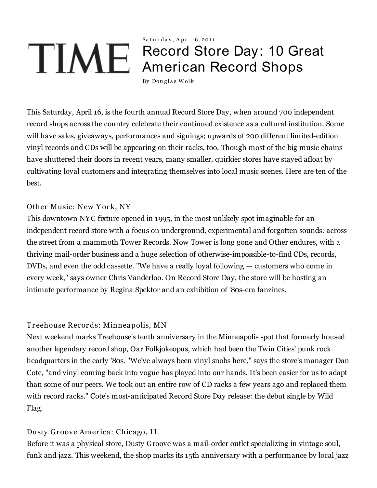# Saturday, Apr. 16, 2011 Record Store Day: 10 Great American Record Shops

By Douglas Wolk

This Saturday, April 16, is the fourth annual Record Store Day, when around 700 independent record shops across the country celebrate their continued existence as a cultural institution. Some will have sales, giveaways, performances and signings; upwards of 200 different limited-edition vinyl records and CDs will be appearing on their racks, too. Though most of the big music chains have shuttered their doors in recent years, many smaller, quirkier stores have stayed afloat by cultivating loyal customers and integrating themselves into local music scenes. Here are ten of the best.

## Other Music: New York, NY

This downtown NYC fixture opened in 1995, in the most unlikely spot imaginable for an independent record store with a focus on underground, experimental and forgotten sounds: across the street from a mammoth Tower Records. Now Tower is long gone and Other endures, with a thriving mail-order business and a huge selection of otherwise-impossible-to-find CDs, records, DVDs, and even the odd cassette. "We have a really loyal following — customers who come in every week," says owner Chris Vanderloo. On Record Store Day, the store will be hosting an intimate performance by Regina Spektor and an exhibition of '80s-era fanzines.

## Tr eehouse Recor ds: Minneapolis, MN

Next weekend marks Treehouse's tenth anniversary in the Minneapolis spot that formerly housed another legendary record shop, Oar Folkjokeopus, which had been the Twin Cities' punk rock headquarters in the early '80s. "We've always been vinyl snobs here," says the store's manager Dan Cote, "and vinyl coming back into vogue has played into our hands. It's been easier for us to adapt than some of our peers. We took out an entire row of CD racks a few years ago and replaced them with record racks." Cote's most-anticipated Record Store Day release: the debut single by Wild Flag.

# Dusty Groove America: Chicago, IL

Before it was a physical store, Dusty Groove was a mail-order outlet specializing in vintage soul, funk and jazz. This weekend, the shop marks its 15th anniversary with a performance by local jazz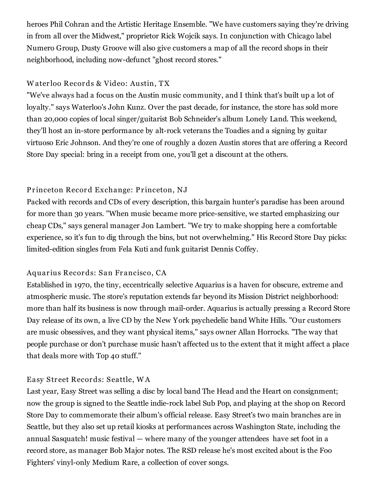heroes Phil Cohran and the Artistic Heritage Ensemble. "We have customers saying they're driving in from all over the Midwest," proprietor Rick Wojcik says. In conjunction with Chicago label Numero Group, Dusty Groove will also give customers a map of all the record shops in their neighborhood, including now-defunct "ghost record stores."

## W ater loo Recor ds & Video: Austin, TX

"We've always had a focus on the Austin music community, and I think that's built up a lot of loyalty." says Waterloo's John Kunz. Over the past decade, for instance, the store has sold more than 20,000 copies of local singer/guitarist Bob Schneider's album Lonely Land. This weekend, they'll host an in-store performance by alt-rock veterans the Toadies and a signing by guitar virtuoso Eric Johnson. And they're one of roughly a dozen Austin stores that are offering a Record Store Day special: bring in a receipt from one, you'll get a discount at the others.

## Princeton Record Exchange: Princeton, NJ

Packed with records and CDs of every description, this bargain hunter's paradise has been around for more than 30 years. "When music became more price-sensitive, we started emphasizing our cheap CDs," says general manager Jon Lambert. "We try to make shopping here a comfortable experience, so it's fun to dig through the bins, but not overwhelming." His Record Store Day picks: limited-edition singles from Fela Kuti and funk guitarist Dennis Coffey.

## Aquarius Records: San Francisco, CA

Established in 1970, the tiny, eccentrically selective Aquarius is a haven for obscure, extreme and atmospheric music. The store's reputation extends far beyond its Mission District neighborhood: more than half its business is now through mail-order. Aquarius is actually pressing a Record Store Day release of its own, a live CD by the New York psychedelic band White Hills. "Our customers are music obsessives, and they want physical items," says owner Allan Horrocks. "The way that people purchase or don't purchase music hasn't affected us to the extent that it might affect a place that deals more with Top 40 stuff."

## Easy Street Records: Seattle, WA

Last year, Easy Street was selling a disc by local band The Head and the Heart on consignment; now the group is signed to the Seattle indie-rock label Sub Pop, and playing at the shop on Record Store Day to commemorate their album's official release. Easy Street's two main branches are in Seattle, but they also set up retail kiosks at performances across Washington State, including the annual Sasquatch! music festival — where many of the younger attendees have set foot in a record store, as manager Bob Major notes. The RSD release he's most excited about is the Foo Fighters' vinyl-only Medium Rare, a collection of cover songs.